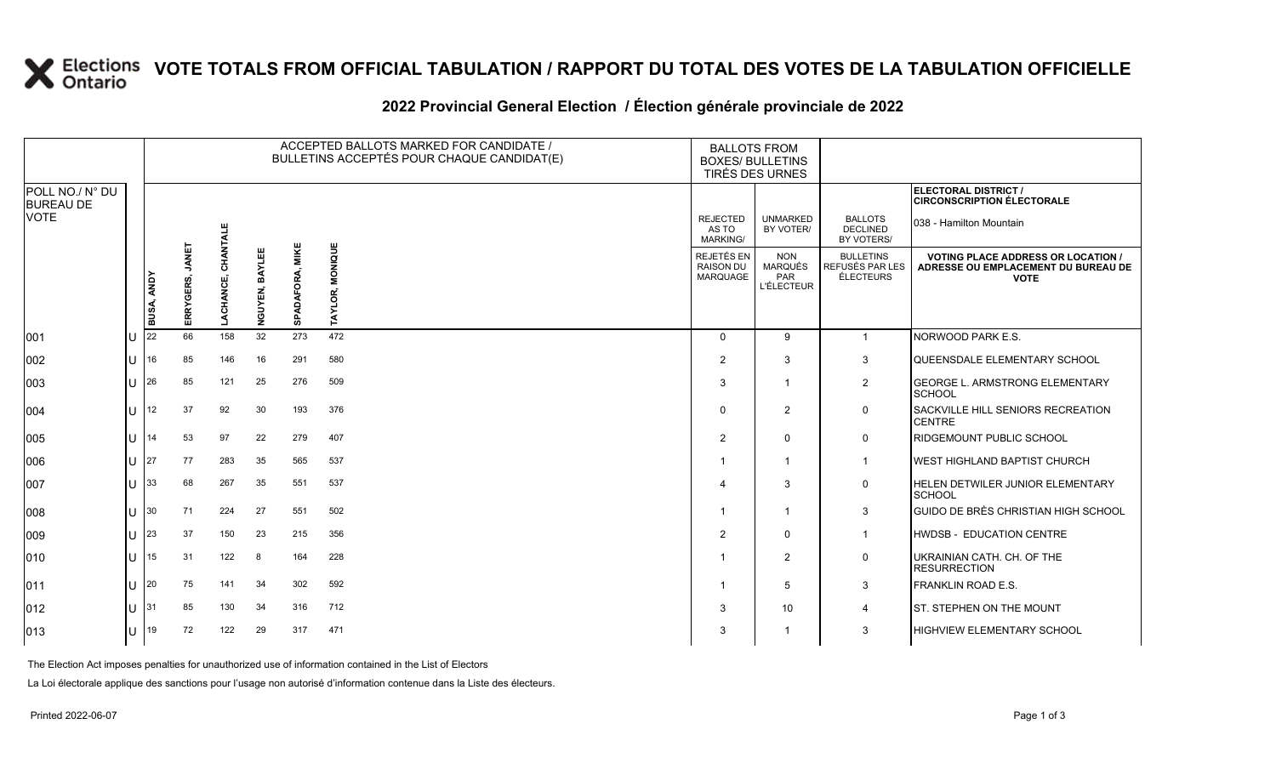## **X** Elections VOTE TOTALS FROM OFFICIAL TABULATION / RAPPORT DU TOTAL DES VOTES DE LA TABULATION OFFICIELLE

#### **2022 Provincial General Election / Élection générale provinciale de 2022**

|                                     |     |                   |                 |           |                   |                 | ACCEPTED BALLOTS MARKED FOR CANDIDATE /<br>BULLETINS ACCEPTÉS POUR CHAQUE CANDIDAT(E) | <b>BALLOTS FROM</b><br><b>BOXES/ BULLETINS</b> | TIRÉS DES URNES                                          |                                                  |                                                                                                 |
|-------------------------------------|-----|-------------------|-----------------|-----------|-------------------|-----------------|---------------------------------------------------------------------------------------|------------------------------------------------|----------------------------------------------------------|--------------------------------------------------|-------------------------------------------------------------------------------------------------|
| POLL NO./ N° DU<br><b>BUREAU DE</b> |     |                   |                 |           |                   |                 |                                                                                       |                                                |                                                          |                                                  | ELECTORAL DISTRICT /<br><b>CIRCONSCRIPTION ÉLECTORALE</b>                                       |
| <b>VOTE</b>                         |     |                   |                 | CHANTALE  |                   |                 |                                                                                       | <b>REJECTED</b><br>AS TO<br><b>MARKING/</b>    | <b>UNMARKED</b><br>BY VOTER/                             | <b>BALLOTS</b><br><b>DECLINED</b><br>BY VOTERS/  | 038 - Hamilton Mountain                                                                         |
|                                     |     | <b>BUSA, ANDY</b> | ERRYGERS, JANET | LACHANCE, | BAYLEE<br>NGUYEN, | SPADAFORA, MIKE | MONIQUE<br>AYLOR,<br>⊢                                                                | REJETÉS EN<br><b>RAISON DU</b><br>MARQUAGE     | <b>NON</b><br><b>MARQUÉS</b><br>PAR<br><b>L'ÉLECTEUR</b> | <b>BULLETINS</b><br>REFUSÉS PAR LES<br>ÉLECTEURS | <b>VOTING PLACE ADDRESS OR LOCATION /</b><br>ADRESSE OU EMPLACEMENT DU BUREAU DE<br><b>VOTE</b> |
| 001                                 | ΙU  | 22                | 66              | 158       | 32                | 273             | 472                                                                                   | $\Omega$                                       | 9                                                        | $\overline{1}$                                   | NORWOOD PARK E.S.                                                                               |
| 002                                 | Iп  | 16                | 85              | 146       | 16                | 291             | 580                                                                                   | 2                                              | 3                                                        | 3                                                | QUEENSDALE ELEMENTARY SCHOOL                                                                    |
| 003                                 | IП  | 26                | 85              | 121       | 25                | 276             | 509                                                                                   | 3                                              | $\overline{1}$                                           | $\overline{2}$                                   | <b>GEORGE L. ARMSTRONG ELEMENTARY</b><br><b>SCHOOL</b>                                          |
| 004                                 | IП  | 12                | 37              | 92        | 30                | 193             | 376                                                                                   | $\Omega$                                       | 2                                                        | $\mathsf{O}$                                     | SACKVILLE HILL SENIORS RECREATION<br><b>CENTRE</b>                                              |
| 005                                 | IП  | 14                | 53              | 97        | 22                | 279             | 407                                                                                   | 2                                              | $\mathbf 0$                                              | $\mathbf 0$                                      | <b>RIDGEMOUNT PUBLIC SCHOOL</b>                                                                 |
| 006                                 | lu  | 27                | 77              | 283       | 35                | 565             | 537                                                                                   |                                                | $\overline{1}$                                           | $\mathbf{1}$                                     | <b>IWEST HIGHLAND BAPTIST CHURCH</b>                                                            |
| 007                                 | lu  | 33                | 68              | 267       | 35                | 551             | 537                                                                                   |                                                | 3                                                        | $\mathbf 0$                                      | HELEN DETWILER JUNIOR ELEMENTARY<br>SCHOOL                                                      |
| 008                                 | lu  | 30                | 71              | 224       | 27                | 551             | 502                                                                                   |                                                | $\overline{1}$                                           | 3                                                | <b>GUIDO DE BRÈS CHRISTIAN HIGH SCHOOL</b>                                                      |
| 009                                 | ΙU  | 23                | 37              | 150       | 23                | 215             | 356                                                                                   | 2                                              | $\mathbf 0$                                              | $\overline{1}$                                   | <b>HWDSB - EDUCATION CENTRE</b>                                                                 |
| $ 010\rangle$                       | lu  | 15                | 31              | 122       | 8                 | 164             | 228                                                                                   |                                                | 2                                                        | $\mathbf 0$                                      | UKRAINIAN CATH. CH. OF THE<br><b>RESURRECTION</b>                                               |
| 011                                 | lu  | <b>20</b>         | 75              | 141       | 34                | 302             | 592                                                                                   |                                                | 5                                                        | 3                                                | <b>FRANKLIN ROAD E.S.</b>                                                                       |
| $ 012\rangle$                       | lu. | 31                | 85              | 130       | 34                | 316             | 712                                                                                   | 3                                              | 10                                                       | 4                                                | <b>ST. STEPHEN ON THE MOUNT</b>                                                                 |
| $ 013\rangle$                       | ΙU  | 19                | 72              | 122       | 29                | 317             | 471                                                                                   |                                                | -1                                                       | 3                                                | <b>HIGHVIEW ELEMENTARY SCHOOL</b>                                                               |

The Election Act imposes penalties for unauthorized use of information contained in the List of Electors

La Loi électorale applique des sanctions pour l'usage non autorisé d'information contenue dans la Liste des électeurs.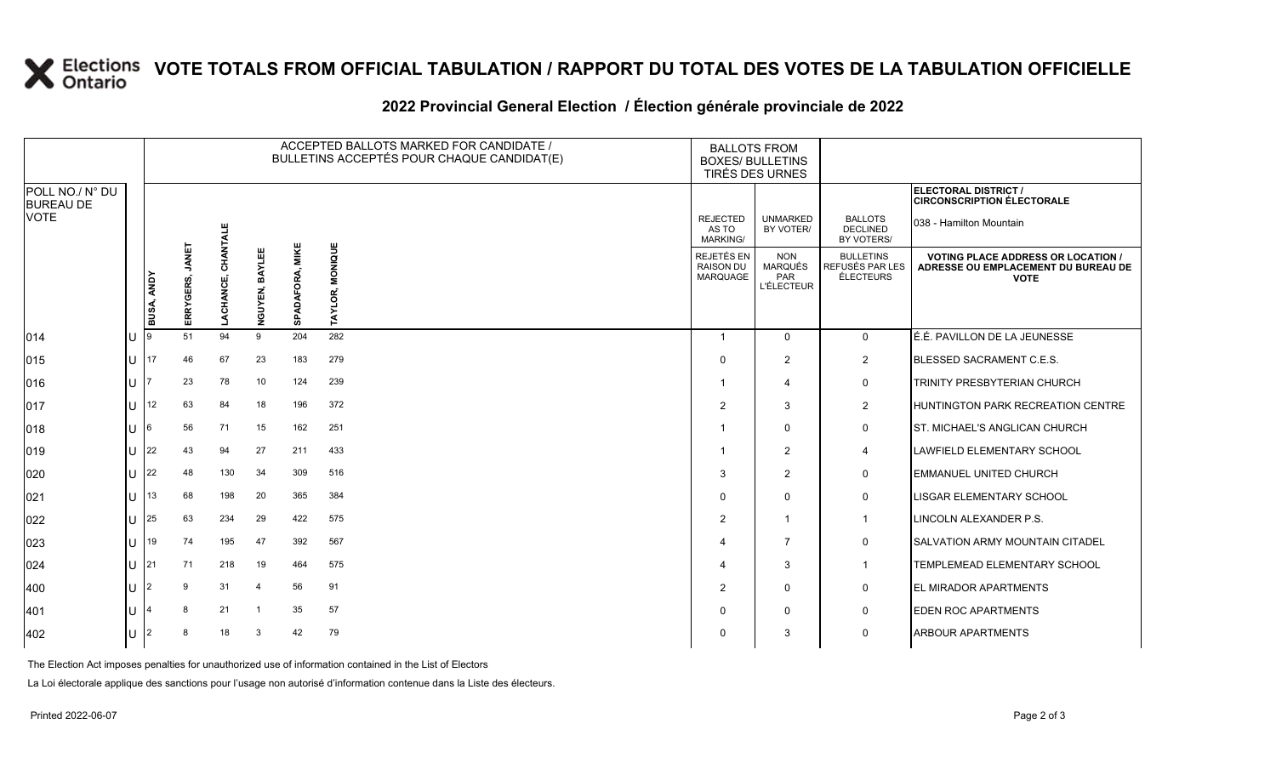## **X** Elections VOTE TOTALS FROM OFFICIAL TABULATION / RAPPORT DU TOTAL DES VOTES DE LA TABULATION OFFICIELLE

#### **2022 Provincial General Election / Élection générale provinciale de 2022**

|                                     |     |            |                    |           |                                       | ACCEPTED BALLOTS MARKED FOR CANDIDATE /<br>BULLETINS ACCEPTÉS POUR CHAQUE CANDIDAT(E) | <b>BALLOTS FROM</b><br><b>BOXES/ BULLETINS</b><br>TIRÉS DES URNES |                                             |                                                          |                                                  |                                                                                                 |
|-------------------------------------|-----|------------|--------------------|-----------|---------------------------------------|---------------------------------------------------------------------------------------|-------------------------------------------------------------------|---------------------------------------------|----------------------------------------------------------|--------------------------------------------------|-------------------------------------------------------------------------------------------------|
| POLL NO./ N° DU<br><b>BUREAU DE</b> |     |            |                    |           |                                       |                                                                                       |                                                                   |                                             |                                                          |                                                  | ELECTORAL DISTRICT /<br><b>CIRCONSCRIPTION ÉLECTORALE</b>                                       |
| <b>VOTE</b>                         |     |            |                    | CHANTALE  |                                       |                                                                                       |                                                                   | <b>REJECTED</b><br>AS TO<br><b>MARKING/</b> | <b>UNMARKED</b><br>BY VOTER/                             | <b>BALLOTS</b><br><b>DECLINED</b><br>BY VOTERS/  | 038 - Hamilton Mountain                                                                         |
|                                     |     | BUSA, ANDY | JANET<br>ERRYGERS, | LACHANCE, | 面<br><b>AVE</b><br><b>GUYEN,</b><br>ž | MIKE<br>SPADAFORA,                                                                    | MONIQUE<br>TAYLOR,                                                | REJETÉS EN<br>RAISON DU<br><b>MARQUAGE</b>  | <b>NON</b><br><b>MARQUÉS</b><br>PAR<br><b>L'ÉLECTEUR</b> | <b>BULLETINS</b><br>REFUSÉS PAR LES<br>ÉLECTEURS | <b>VOTING PLACE ADDRESS OR LOCATION /</b><br>ADRESSE OU EMPLACEMENT DU BUREAU DE<br><b>VOTE</b> |
| 014                                 | ΙU  |            | 51                 | 94        | 9                                     | 204                                                                                   | 282                                                               | -1                                          | $\mathbf 0$                                              | $\mathbf{0}$                                     | LÉ.É. PAVILLON DE LA JEUNESSE                                                                   |
| 015                                 | IU. | 17         | 46                 | 67        | 23                                    | 183                                                                                   | 279                                                               | $\Omega$                                    | $\overline{2}$                                           | $\overline{2}$                                   | BLESSED SACRAMENT C.E.S.                                                                        |
| 016                                 | ПJ  |            | 23                 | 78        | 10                                    | 124                                                                                   | 239                                                               |                                             | $\overline{4}$                                           | 0                                                | <b>TRINITY PRESBYTERIAN CHURCH</b>                                                              |
| 017                                 | ПJ  | 12         | 63                 | 84        | 18                                    | 196                                                                                   | 372                                                               | $\mathcal{P}$                               | 3                                                        | $\overline{2}$                                   | <b>HUNTINGTON PARK RECREATION CENTRE</b>                                                        |
| 018                                 | IU. | 6          | 56                 | 71        | 15                                    | 162                                                                                   | 251                                                               |                                             | $\Omega$                                                 | 0                                                | ST. MICHAEL'S ANGLICAN CHURCH                                                                   |
| 019                                 | U   | 22         | 43                 | 94        | 27                                    | 211                                                                                   | 433                                                               |                                             | $\overline{2}$                                           | 4                                                | <b>LAWFIELD ELEMENTARY SCHOOL</b>                                                               |
| 020                                 | ПJ  | 22         | 48                 | 130       | 34                                    | 309                                                                                   | 516                                                               | 3                                           | $\overline{2}$                                           | $\mathbf 0$                                      | <b>EMMANUEL UNITED CHURCH</b>                                                                   |
| 021                                 | U   | 13         | 68                 | 198       | 20                                    | 365                                                                                   | 384                                                               | $\Omega$                                    | $\Omega$                                                 | $\mathbf 0$                                      | <b>LISGAR ELEMENTARY SCHOOL</b>                                                                 |
| 022                                 | ПJ  | 25         | 63                 | 234       | 29                                    | 422                                                                                   | 575                                                               | 2                                           | $\mathbf{1}$                                             | $\overline{1}$                                   | LINCOLN ALEXANDER P.S.                                                                          |
| 023                                 | ПJ  | 19         | 74                 | 195       | 47                                    | 392                                                                                   | 567                                                               | Δ                                           | $\overline{7}$                                           | $\mathbf 0$                                      | <b>SALVATION ARMY MOUNTAIN CITADEL</b>                                                          |
| 024                                 | ПT  | 21         | 71                 | 218       | 19                                    | 464                                                                                   | 575                                                               |                                             | 3                                                        | -1                                               | TEMPLEMEAD ELEMENTARY SCHOOL                                                                    |
| 400                                 | lU. | 2          | 9                  | 31        | $\overline{4}$                        | 56                                                                                    | 91                                                                | 2                                           | $\mathbf 0$                                              | $\mathbf 0$                                      | <b>EL MIRADOR APARTMENTS</b>                                                                    |
| 401                                 | IU  |            | 8                  | 21        |                                       | 35                                                                                    | 57                                                                | $\Omega$                                    | $\Omega$                                                 | $\mathbf 0$                                      | <b>EDEN ROC APARTMENTS</b>                                                                      |
| 402                                 | IU. | 2          | 8                  | 18        | 3                                     | 42                                                                                    | 79                                                                | 0                                           | 3                                                        | 0                                                | <b>ARBOUR APARTMENTS</b>                                                                        |

The Election Act imposes penalties for unauthorized use of information contained in the List of Electors

La Loi électorale applique des sanctions pour l'usage non autorisé d'information contenue dans la Liste des électeurs.